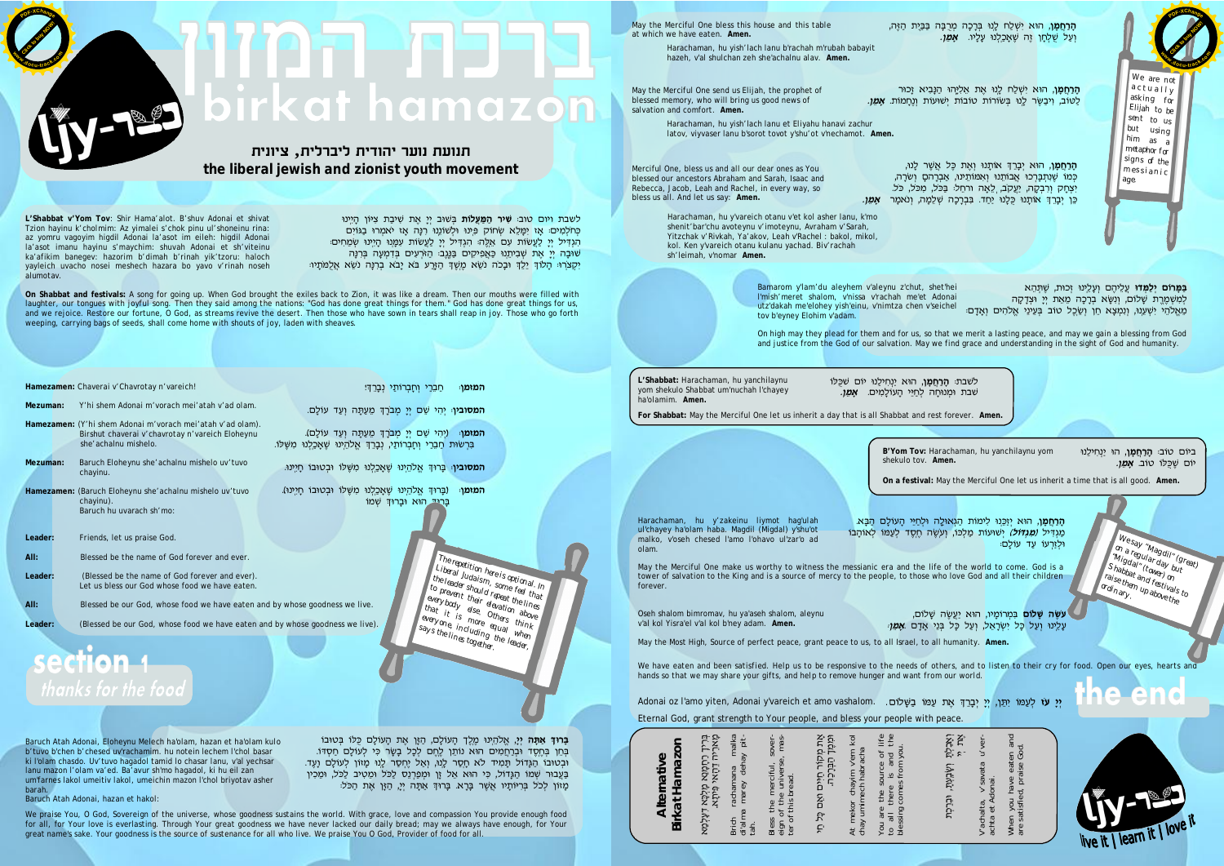**L'Shabbat v'Yom Tov**: Shir Hama'alot. B'shuv Adonai et shivat Tzion hayinu k'cholmim: Az yimalei s'chok pinu ul'shoneinu rina: az yomru vagoyim higdil Adonai la'asot im eileh: higdil Adonai la'asot imanu hayinu s'maychim: shuvah Adonai et sh'viteinu ka'afikim banegev: hazorim b'dimah b'rinah yik'tzoru: haloch yayleich uvacho nosei meshech hazara bo yavo v'rinah noseh alumotav.

**Click to buy Now!** 

**On Shabbat and festivals:** A song for going up. When God brought the exiles back to Zion, it was like a dream. Then our mouths were filled with laughter, our tongues with joyful song. Then they said among the nations: "God has done great things for them." God has done great things for us, and we rejoice. Restore our fortune, O God, as streams revive the desert. Then those who have sown in tears shall reap in joy. Those who go forth weeping, carrying bags of seeds, shall come home with shouts of joy, laden with sheaves.

|          | Hamezamen: Chaverai v'Chavrotay n'vareich!                                                                                            | ַחַבֵּרַי וְחָבְרוֹתַי נְבָרֵדְּיִ<br>ּהמזמוּ                                                                                             |
|----------|---------------------------------------------------------------------------------------------------------------------------------------|-------------------------------------------------------------------------------------------------------------------------------------------|
| Mezuman: | Y'hi shem Adonai m'vorach mei'atah y'ad olam.                                                                                         | <b>המסוביו</b> יְהִי שֵׁם יְיָ מְבֹרָךְ מֵעַתָּה וְעַד עוֹלָם.                                                                            |
|          | Hamezamen: (Y'hi shem Adonai m'vorach mei'atah v'ad olam).<br>Birshut chaverai v'chavrotay n'vareich Eloheynu<br>she'achalnu mishelo. | המזמן: (יְהִי שֵׁם יְיָ מְבֹרֶךְ מֵעַתָּה וְעַד עוֹלָם).<br>בִּרְשׂוּת חַבֵּרַי וְחָבְרוֹתַי, נְבָרֵךְ אֱלֹהֵינוּ שֶׁאָכַלְנוּ מִשֶּׁלוֹ. |
| Mezuman: | Baruch Eloheynu she' achalnu mishelo uv'tuvo<br>chayinu.                                                                              | המסובין בָרוּדְ אֱלֹהֵינוּ שֵׁאָכַלְנוּ מִשֶּׁלוֹ וּבְטוּבוֹ חָיִינוּ.                                                                    |
|          | Hamezamen: (Baruch Eloheynu she'achalnu mishelo uv'tuvo<br>chayinu).<br>Baruch hu uvarach sh'mo:                                      | ַ(בָּרוּךְ אֱלֹהֵינוּ שֶׁאָכַלְנוּ מִשֶּׁלוֹ וּבְטוּבוֹ חָיִינוּ).<br>ּהמזמן<br>בָּרְיִה הוֹא וּבָרוּךְ שָׁמוֹ                            |
| Leader:  | Friends, let us praise God.                                                                                                           |                                                                                                                                           |
| All:     | Blessed be the name of God forever and ever.                                                                                          |                                                                                                                                           |
| Leader:  | (Blessed be the name of God forever and ever).<br>Let us bless our God whose food we have eaten.                                      | The repetition here is optional. In $\sqrt{ }$<br>Liberal Judaism, some feel that<br>If the leader should repeat the lines                |
| All:     | Blessed be our God, whose food we have eaten and by whose goodness we live.                                                           | to prevent their elevation above $\ell$<br>$e^{e^{i\theta}}$ everybody $e^{iS_e}$ Others think $\ell$                                     |
| Leader:  | (Blessed be our God, whose food we have eaten and by whose goodness we live).                                                         | $\int$ that it is $m_{0re}$ equal when                                                                                                    |
|          |                                                                                                                                       | $\int$ everyone, including the leader,<br>$\sqrt{s}$ ays the lines together.                                                              |
|          |                                                                                                                                       |                                                                                                                                           |

Baruch Atah Adonai, Eloheynu Melech ha'olam, hazan et ha'olam kulo b'tuvo b'chen b'chesed uv'rachamim. hu notein lechem l'chol basar ki l'olam chasdo. Uv'tuvo hagadol tamid lo chasar lanu, v'al yechsar lanu mazon l'olam va'ed. Ba'avur sh'mo hagadol, ki hu eil zan um'farnes lakol umeitiv lakol, umeichin mazon l'chol briyotav asher barah.

Baruch Atah Adonai, hazan et hakol:

We praise You, O God, Sovereign of the universe, whose goodness sustains the world. With grace, love and compassion You provide enough food for all, for Your love is everlasting. Through Your great goodness we have never lacked our daily bread; may we always have enough, for Your great name's sake. Your goodness is the source of sustenance for all who live. We praise You O God, Provider of food for all.

## birkat hamazo

**³¢©¢¯ '³¢¥±¢¥³¢¢±«©³«©³ the liberal jewish and zionist youth movement**

> May the Merciful One make us worthy to witness the messianic era and the life of the world to come. God is a tower of salvation to the King and is a source of mercy to the people, to those who love God and all their children forever.

Merciful One, bless us and all our dear ones as You blessed our ancestors Abraham and Sarah, Isaac and Rebecca, Jacob, Leah and Rachel, in every way, so bless us all. And let us say: *Amen.*

 $\overline{\phantom{0}}$ **הָרַחֲמָן,** הוּא יְבָרֵךְ אוֹתָנוּ וְאֶת כֶּל אֲשֶׁר לָנוּ , ַכְּמוֹ שֶׁנִתְבָּרְכוּ אֲבוֹתֵנוּ וְאִמּוֹתֵינוּ, אַבְרָהםָ וְשֹׂרָה יִצְחָק וְרִבְקָה, יַעֲקֹב, לֵאָה וּרחֵל: בַּכֹּל, מִכֹּל, כֹּל. כֵּן יְבָרֵךְ אוֹתָנוּ כֻּלָנוּ יַחַד. בִּבְרָכָה שְׁלֵמָה, וְנֹאמָר *אָמֵן.* 

May the Merciful One bless this house and this table at which we have eaten. *Amen.*

> Harachaman, hu y'vareich otanu v'et kol asher lanu, k'mo shenit'bar'chu avoteynu v'imoteynu, Avraham v'Sarah, Yitzchak v'Rivkah, Ya'akov, Leah v'Rachel : bakol, mikol, kol. Ken y'vareich otanu kulanu yachad. Biv'rachah sh'leimah, v'nomar *Amen.*

Harachaman, hu yish'lach lanu b'rachah m'rubah babayit hazeh, v'al shulchan zeh she'achalnu alav. *Amen.*

May the Merciful One send us Elijah, the prophet of blessed memory, who will bring us good news of salvation and comfort. *Amen.*

,

Harachaman, hu yish'lach lanu et Eliyahu hanavi zachur latov, viyvaser lanu b'sorot tovot y'shu'ot v'nechamot. *Amen.*

**L'Shabbat:** Harachaman, hu yanchilaynu yom shekulo Shabbat um'nuchah l'chayey ha'olamim. *Amen.*

לשבת: **הָרַחֲמָן**, הוּא יַנְחִילַנוּ יוֹם שֹׁכֻּלּוֹ שבת ומנוחה לחיי העולמים. **א***מן.* 

**For Shabbat:** May the Merciful One let us inherit a day that is all Shabbat and rest forever. *Amen.*

Harachaman, hu y'zakeinu liymot hag'ulah ul'chayey ha'olam haba. Magdil (Migdal) y'shu'ot malko, v'oseh chesed l'amo l'ohavo ul'zar'o ad olam.

**הָרַחֲמָן,** הוּא יְזַכֵּנוּ לִימוֹת הַגְאוּלַה וּלְחַיֵּי הָעוֹלָם הַבָּא. ְּמַגְדִּיל *(מִגְדּוֹל)* יְשׁוּעוֹת מַלְכּוֹ, וְעִשֶׁה חֶסֶד לְעַמּוֹ לְאוֹהָבוֹ ּוּלְזַרְעוֹ עַד עוֹלַם

On high may they plead for them and for us, so that we merit a lasting peace, and may we gain a blessing from God and justice from the God of our salvation. May we find grace and understanding in the sight of God and humanity.

Bamarom y'lam'du aleyhem v'aleynu z'chut, shet'hei l'mish'meret shalom, v'nissa v'rachah me'et Adonai utz'dakah me'elohey yish'einu, v'nimtza chen v'seichel tov b'eyney Elohim v'adam.

*We have eaten and been satisfied. Help us to be responsive to the needs of others, and to listen to their cry for food. Open our eyes, hearts and hands so that we may share your gifts, and help to remove hunger and want from our world.*

**יִי עֹז** לְעַמּוֹ יִתֵּן, יְיָ יְבָרֵךְּ אֶת עַמּוֹ בַּשָּׁלוֹם. .Adonai oz l'amo yiten, Adonai y'vareich et amo vashalom

We are not actually asking for  $\vert$  Elijah  $_{\rm{to~be}}$  / sent to  $\mathsf{u}\mathsf{s}$ <br>but using using him as <sup>a</sup> metaphor for signs of the messianic age.

**Click to buy Now!** 

**B'Yom Tov:** Harachaman, hu yanchilaynu yom

ביום טוב: **הָרַחֲמָן**, הוּ יַנְחִילֵנוּ **יום שֶׁכַּלוֹ טוֹב. <b>אַמֶּ**ן.

shekulo tov. *Amen.*

**On a festival:** May the Merciful One let us inherit a time that is all good. *Amen.*

**עשֶׂה שָׁלוֹם** בִּמְרוֹמָיו, הוּא יַעֲשֶׂה שָׁלוֹם **ּעָלֵינוּ וְעַל כָּל יִשְׂרָאֵל, וְעַל כָּל בְּנֵי אָדָם <b>א***ָמֵן،* 

May the Most High, Source of perfect peace, grant peace to us, to all Israel, to all humanity. *Amen.*

Oseh shalom bimromav, hu ya'aseh shalom, aleynu v'al kol Yisra'el v'al kol b'ney adam. *Amen.*

 $\overline{\phantom{0}}$ 

Eternal God, grant strength to Your people, and bless your people with peace.

|  | Birkat Hamazon<br>Alternative | בורן רחפונא מלכא דעלמא<br>בורך רחפונא מלכא דעלמא | rachamana malka<br>marey dehay pit-<br>di'alma<br><b>Brich</b><br>tah. | Bless the merciful, sover-<br>eign of the universe, mas-<br>ter of this bread. | ּוֹמִכֶּוֹן הַבְּרָכֵה.<br>וּמִכֶּוֹן הַבְּרָכֵה. | At mekor chayim v'em kol<br>chay umimech habracha | You are the source of life<br>the<br>to all there is and t<br>blessing comes from you. |
|--|-------------------------------|--------------------------------------------------|------------------------------------------------------------------------|--------------------------------------------------------------------------------|---------------------------------------------------|---------------------------------------------------|----------------------------------------------------------------------------------------|
|--|-------------------------------|--------------------------------------------------|------------------------------------------------------------------------|--------------------------------------------------------------------------------|---------------------------------------------------|---------------------------------------------------|----------------------------------------------------------------------------------------|

**ַ הָרַחֲמָן,** הוּא יִשְׁלַח לְנוּ בְּרָכָה מְרֻבָּה בַּבַּיָת הַזֶּה **וַעֲל שַׁלְחַן זֵה שֶׁאַכֲלָנוּ עַלֵיו. <b>אַמֶּן.** 

| χι κ                                |                                                |                                                       |  |
|-------------------------------------|------------------------------------------------|-------------------------------------------------------|--|
| ݩאָכֹּלְתֿ וֹאָבֶּעְתָי נּבְנַכִּתּ | V'achalta, v'savata u'ver-<br>achta et Adonai. | When you have eaten and<br>are satisfied, praise God. |  |

/W<sub>e Say "Magdil"<br><sup>On a regular day (Great)<br>Migdal" (tower) but<br>habbor (tower) but</sub></sup> on a regular day bure.<br>"Migdal" (tower) but<br>"Shabbat (tower) on<br>raise them up above them I<sup>vinyuar</sup> (<sup>tuwer/wr)</sup><br>Shabbat and festivals to raise them up above the<br>ordinary. Up above the



**<sup>P</sup>DF-XChang<sup>e</sup>**

לשבת ויום טוב: **שִׁיר הַמַּעֲלוֹת** בְּשׁוּב יִיַ אֶת שִׁיבַת צִיּוֹן הַיֵּינוּ כּחלְמִים: אַז יִמַּלֵא שְׂחוֹק פִינוּ וּלְשׁוֹנֵוּ רְנַה אֵז יֹאמְרוּ בַגּוֹיִם הַגְדִּיל יְיֵ לַעֲשׂוֹת עִם אֱלֵהּ הָגְדִּיל יִיַ לַעֲשׂוֹת עְמַנוּ הַיֶּינוּ שָׂמֶחִים: שׁוּבָה יִיַ אֵת שִׁבִיתֵנוּ כַּאֲפִיקִים בַּנֵּגֵב: הַאֹּרְעִים בִּדְמִעָּה בִּרְנַּה יִקְצֹרוּ הַלוֹדְ יֵלֵדְ וּבָכֹה נֹשֵׂא מֵשֵׁדְ הָזֵרַע בֹּא יָבֹא בְרִנָּה נֹשֵׂא אֱלְמֹתָיוּ:

**בָּרוּדְ אַתָּה יְיָ**, אֱלֹהֵיְנוּ מֶלֶךְ הָעוֹלָם, הַזֶּן אֶת הָעוֹלָם כֻּלוֹ בְּטוּבוֹ בְּחֵן בְּחֵסֶד וּבְרַחֲמִים הוּא נוֹתֵן לֵחֵם לִכָּל בָּשֶׂר כִּי לְעוֹלָם חַסְדּוֹ. ּוּבְטוּבוֹ הַגְּדוֹל תָּמִיד לֹא חָסַר לָנוּ, וְאַל יֶחְסַר לָנוּ מָזוֹן לְעוֹלָם וָעֶד. בַּעֲבוּר שְׁמוֹ הַגָּדוֹל, כִּי הוּא אֵל זֶן וּמְפַרְנֵס לַכֹּל וּמֵטִיב לַכֹּל, וּמֵכִין מָזוֹן לְכֹל בְּרִיּוֹתָיו אֲשֶׁר בָּרָא. בָּרוּךְ אַתָּה יְיָ, הַזָּן אֶת הַכֹּל:

**<sup>w</sup>ww.docu-track.co<sup>m</sup>**

**<sup>P</sup>DF-XChang<sup>e</sup>**

**ּהָרַחֲמָן,** הוּא יִשְׁלַח לְנוּ אֶת אֵלִיֱהוּ הַנָּבִיא זָכוּר ַלַטּוֹב, וִיבַשֶּׂר לֶנוּ בְּשׂוֹרוֹת טוֹבוֹת יְשׁוּעוֹת וְנֶחָמוֹת. *אָמֵן.* 

> **ּבַמָּרוֹם יְלַמְּדוּ** עֲלֵיהֶם וְעָלֵינוּ זְכוּת, שֶׁתְּהֵא ּלְמִשְׁמֶרֶת שָׁלוֹם, וְנִשָּׂא בְרָכָה מֵאֵת יְיָ וּצְדָקָה מֵאֱלֹהֵי יִשְׁעֵנוּ, וְנִמְצָא חֵן וְשֵׂכֶל טוֹב בְּעֵינֵי אֱלֹהִים וְאָדָם

**<sup>w</sup>ww.docu-track.co<sup>m</sup>**